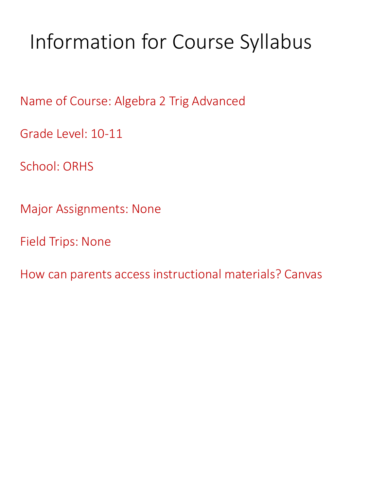# Information for Course Syllabus

Name of Course: Algebra 2 Trig Advanced

Grade Level: 10-11

School: ORHS

Major Assignments: None

Field Trips: None

How can parents access instructional materials? Canvas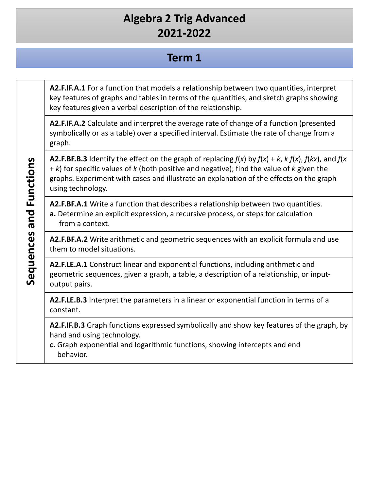## **Term 1**

**A2.F.IF.A.1** For a function that models a relationship between two quantities, interpret key features of graphs and tables in terms of the quantities, and sketch graphs showing key features given a verbal description of the relationship.

**A2.F.IF.A.2** Calculate and interpret the average rate of change of a function (presented symbolically or as a table) over a specified interval. Estimate the rate of change from a graph.

**A2.F.BF.B.3** Identify the effect on the graph of replacing  $f(x)$  by  $f(x) + k$ ,  $k f(x)$ ,  $f(kx)$ , and  $f(x)$ + *k*) for specific values of *k* (both positive and negative); find the value of *k* given the graphs. Experiment with cases and illustrate an explanation of the effects on the graph using technology.

**A2.F.BF.A.1** Write a function that describes a relationship between two quantities. **a.** Determine an explicit expression, a recursive process, or steps for calculation from a context.

**A2.F.BF.A.2** Write arithmetic and geometric sequences with an explicit formula and use them to model situations.

**A2.F.LE.A.1** Construct linear and exponential functions, including arithmetic and geometric sequences, given a graph, a table, a description of a relationship, or inputoutput pairs.

**A2.F.LE.B.3** Interpret the parameters in a linear or exponential function in terms of a constant.

**A2.F.IF.B.3** Graph functions expressed symbolically and show key features of the graph, by hand and using technology.

**c.** Graph exponential and logarithmic functions, showing intercepts and end behavior.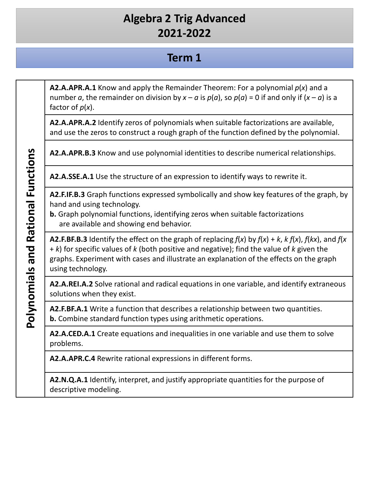# **Term 1**

**A2.A.APR.A.1** Know and apply the Remainder Theorem: For a polynomial *p*(*x*) and a number *a*, the remainder on division by  $x - a$  is  $p(a)$ , so  $p(a) = 0$  if and only if  $(x - a)$  is a factor of *p*(*x*).

**A2.A.APR.A.2** Identify zeros of polynomials when suitable factorizations are available, and use the zeros to construct a rough graph of the function defined by the polynomial.

**A2.A.APR.B.3** Know and use polynomial identities to describe numerical relationships.

**A2.A.SSE.A.1** Use the structure of an expression to identify ways to rewrite it.

**A2.F.IF.B.3** Graph functions expressed symbolically and show key features of the graph, by hand and using technology.

**b.** Graph polynomial functions, identifying zeros when suitable factorizations are available and showing end behavior.

**A2.F.BF.B.3** Identify the effect on the graph of replacing  $f(x)$  by  $f(x) + k$ ,  $k f(x)$ ,  $f(kx)$ , and  $f(x)$ + *k*) for specific values of *k* (both positive and negative); find the value of *k* given the graphs. Experiment with cases and illustrate an explanation of the effects on the graph using technology.

**A2.A.REI.A.2** Solve rational and radical equations in one variable, and identify extraneous solutions when they exist.

**A2.F.BF.A.1** Write a function that describes a relationship between two quantities. **b.** Combine standard function types using arithmetic operations.

**A2.A.CED.A.1** Create equations and inequalities in one variable and use them to solve problems.

**A2.A.APR.C.4** Rewrite rational expressions in different forms.

**A2.N.Q.A.1** Identify, interpret, and justify appropriate quantities for the purpose of descriptive modeling.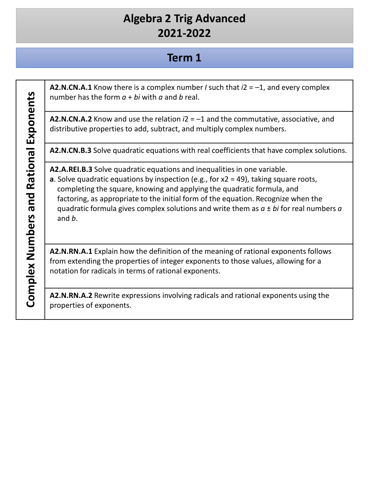# **Term 1**

**A2.N.CN.A.1** Know there is a complex number *I* such that *i*2 = –1, and every complex number has the form *a* + *bi* with *a* and *b* real.

**A2.N.CN.A.2** Know and use the relation *i*2 = –1 and the commutative, associative, and distributive properties to add, subtract, and multiply complex numbers.

**A2.N.CN.B.3** Solve quadratic equations with real coefficients that have complex solutions.

**A2.A.REI.B.3** Solve quadratic equations and inequalities in one variable.

**a**. Solve quadratic equations by inspection (e.g., for x2 = 49), taking square roots, completing the square, knowing and applying the quadratic formula, and factoring, as appropriate to the initial form of the equation. Recognize when the quadratic formula gives complex solutions and write them as *a* ± *bi* for real numbers *a*  and *b*.

**A2.N.RN.A.1** Explain how the definition of the meaning of rational exponents follows from extending the properties of integer exponents to those values, allowing for a notation for radicals in terms of rational exponents.

**A2.N.RN.A.2** Rewrite expressions involving radicals and rational exponents using the properties of exponents.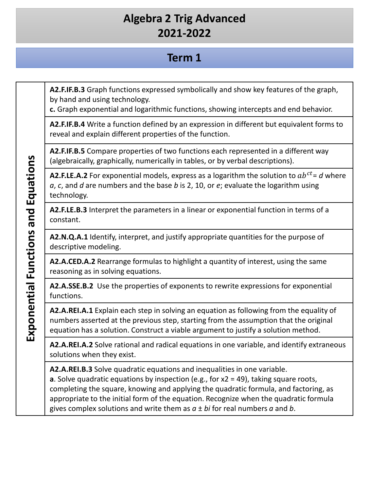# **Term 1**

**A2.F.IF.B.3** Graph functions expressed symbolically and show key features of the graph, by hand and using technology.

**c.** Graph exponential and logarithmic functions, showing intercepts and end behavior.

**A2.F.IF.B.4** Write a function defined by an expression in different but equivalent forms to reveal and explain different properties of the function.

**A2.F.IF.B.5** Compare properties of two functions each represented in a different way (algebraically, graphically, numerically in tables, or by verbal descriptions).

**A2.F.LE.A.2** For exponential models, express as a logarithm the solution to  $ab^{ct} = d$  where *a*, *c*, and *d* are numbers and the base *b* is 2, 10, or *e*; evaluate the logarithm using technology.

**A2.F.LE.B.3** Interpret the parameters in a linear or exponential function in terms of a constant.

**A2.N.Q.A.1** Identify, interpret, and justify appropriate quantities for the purpose of descriptive modeling.

**A2.A.CED.A.2** Rearrange formulas to highlight a quantity of interest, using the same reasoning as in solving equations.

**A2.A.SSE.B.2** Use the properties of exponents to rewrite expressions for exponential functions.

**A2.A.REI.A.1** Explain each step in solving an equation as following from the equality of numbers asserted at the previous step, starting from the assumption that the original equation has a solution. Construct a viable argument to justify a solution method.

**A2.A.REI.A.2** Solve rational and radical equations in one variable, and identify extraneous solutions when they exist.

**A2.A.REI.B.3** Solve quadratic equations and inequalities in one variable. **a**. Solve quadratic equations by inspection (e.g., for x2 = 49), taking square roots, completing the square, knowing and applying the quadratic formula, and factoring, as appropriate to the initial form of the equation. Recognize when the quadratic formula gives complex solutions and write them as *a* ± *bi* for real numbers *a* and *b*.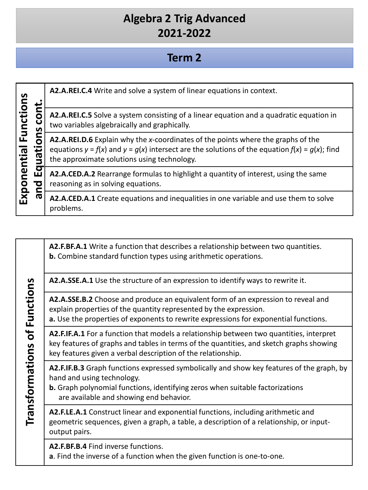# **Term 2**

| Functions<br>nential | <b>S</b><br>₽<br>π | A2.A.REI.C.4 Write and solve a system of linear equations in context.                                                                                                                                                                   |
|----------------------|--------------------|-----------------------------------------------------------------------------------------------------------------------------------------------------------------------------------------------------------------------------------------|
|                      |                    | A2.A.REI.C.5 Solve a system consisting of a linear equation and a quadratic equation in<br>two variables algebraically and graphically.                                                                                                 |
|                      |                    | A2.A.REI.D.6 Explain why the x-coordinates of the points where the graphs of the<br>equations $y = f(x)$ and $y = g(x)$ intersect are the solutions of the equation $f(x) = g(x)$ ; find<br>the approximate solutions using technology. |
|                      | O<br>ш<br>O        | A2.A.CED.A.2 Rearrange formulas to highlight a quantity of interest, using the same<br>reasoning as in solving equations.                                                                                                               |
| Expor                | ത                  | A2.A.CED.A.1 Create equations and inequalities in one variable and use them to solve<br>problems.                                                                                                                                       |

**A2.F.BF.A.1** Write a function that describes a relationship between two quantities. **b.** Combine standard function types using arithmetic operations.

**A2.A.SSE.A.1** Use the structure of an expression to identify ways to rewrite it.

**A2.A.SSE.B.2** Choose and produce an equivalent form of an expression to reveal and explain properties of the quantity represented by the expression.

**a.** Use the properties of exponents to rewrite expressions for exponential functions.

**A2.F.IF.A.1** For a function that models a relationship between two quantities, interpret key features of graphs and tables in terms of the quantities, and sketch graphs showing key features given a verbal description of the relationship.

**A2.F.IF.B.3** Graph functions expressed symbolically and show key features of the graph, by hand and using technology.

**b.** Graph polynomial functions, identifying zeros when suitable factorizations are available and showing end behavior.

**A2.F.LE.A.1** Construct linear and exponential functions, including arithmetic and geometric sequences, given a graph, a table, a description of a relationship, or inputoutput pairs.

**A2.F.BF.B.4** Find inverse functions.

**a**. Find the inverse of a function when the given function is one-to-one*.*

**Transformations of Functions Transformations of Functions**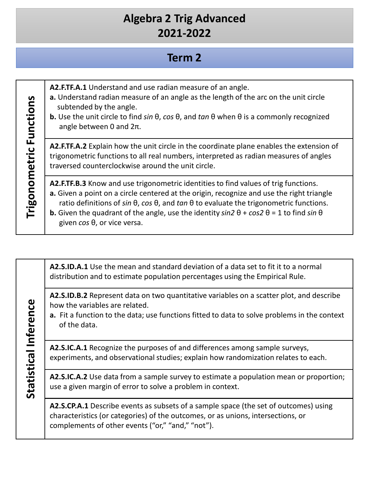#### **Term 2**

| Trigonometric Functions | A2.F.TF.A.1 Understand and use radian measure of an angle.<br>a. Understand radian measure of an angle as the length of the arc on the unit circle<br>subtended by the angle.<br>b. Use the unit circle to find sin $\theta$ , cos $\theta$ , and tan $\theta$ when $\theta$ is a commonly recognized<br>angle between 0 and $2\pi$ .                                                                                                                    |
|-------------------------|----------------------------------------------------------------------------------------------------------------------------------------------------------------------------------------------------------------------------------------------------------------------------------------------------------------------------------------------------------------------------------------------------------------------------------------------------------|
|                         | A2.F.TF.A.2 Explain how the unit circle in the coordinate plane enables the extension of<br>trigonometric functions to all real numbers, interpreted as radian measures of angles<br>traversed counterclockwise around the unit circle.                                                                                                                                                                                                                  |
|                         | A2.F.TF.B.3 Know and use trigonometric identities to find values of trig functions.<br>a. Given a point on a circle centered at the origin, recognize and use the right triangle<br>ratio definitions of $sin \theta$ , $cos \theta$ , and $tan \theta$ to evaluate the trigonometric functions.<br><b>b.</b> Given the quadrant of the angle, use the identity $sin 2 \theta + cos 2 \theta = 1$ to find $sin \theta$<br>given $cos θ$ , or vice versa. |

**A2.S.ID.A.1** Use the mean and standard deviation of a data set to fit it to a normal distribution and to estimate population percentages using the Empirical Rule.

**A2.S.ID.B.2** Represent data on two quantitative variables on a scatter plot, and describe how the variables are related.

**a.** Fit a function to the data; use functions fitted to data to solve problems in the context of the data.

**A2.S.IC.A.1** Recognize the purposes of and differences among sample surveys, experiments, and observational studies; explain how randomization relates to each.

**A2.S.IC.A.2** Use data from a sample survey to estimate a population mean or proportion; use a given margin of error to solve a problem in context.

**A2.S.CP.A.1** Describe events as subsets of a sample space (the set of outcomes) using characteristics (or categories) of the outcomes, or as unions, intersections, or complements of other events ("or," "and," "not").

# Statistical Inference **Statistical Inference**